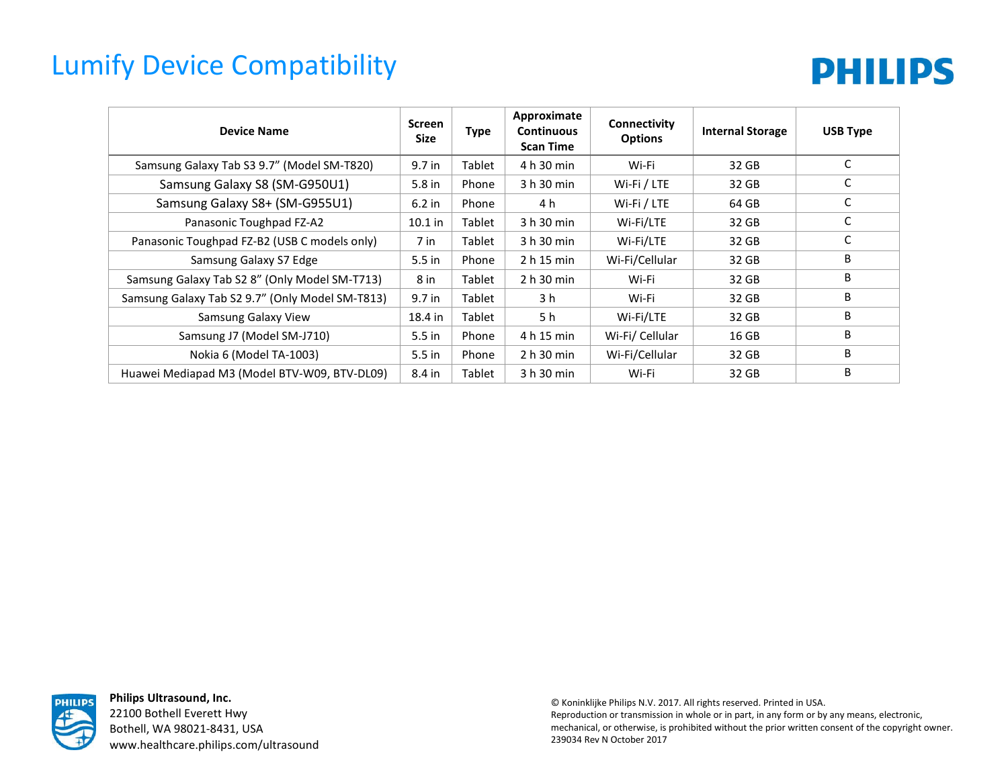## Lumify Device Compatibility



| <b>Device Name</b>                              | <b>Screen</b><br>Size | <b>Type</b> | Approximate<br><b>Continuous</b><br><b>Scan Time</b> | Connectivity<br><b>Options</b> | <b>Internal Storage</b> | <b>USB Type</b> |
|-------------------------------------------------|-----------------------|-------------|------------------------------------------------------|--------------------------------|-------------------------|-----------------|
| Samsung Galaxy Tab S3 9.7" (Model SM-T820)      | 9.7 in                | Tablet      | 4 h 30 min                                           | Wi-Fi                          | 32 GB                   | C               |
| Samsung Galaxy S8 (SM-G950U1)                   | 5.8 in                | Phone       | 3 h 30 min                                           | Wi-Fi / LTE                    | 32 GB                   | C               |
| Samsung Galaxy S8+ (SM-G955U1)                  | $6.2$ in              | Phone       | 4 h                                                  | Wi-Fi / LTE                    | 64 GB                   | C               |
| Panasonic Toughpad FZ-A2                        | $10.1$ in             | Tablet      | 3 h 30 min                                           | Wi-Fi/LTE                      | 32 GB                   | С               |
| Panasonic Toughpad FZ-B2 (USB C models only)    | 7 in                  | Tablet      | 3 h 30 min                                           | Wi-Fi/LTE                      | 32 GB                   | С               |
| Samsung Galaxy S7 Edge                          | $5.5$ in              | Phone       | 2 h 15 min                                           | Wi-Fi/Cellular                 | 32 GB                   | B               |
| Samsung Galaxy Tab S2 8" (Only Model SM-T713)   | 8 in                  | Tablet      | 2 h 30 min                                           | Wi-Fi                          | 32 GB                   | B               |
| Samsung Galaxy Tab S2 9.7" (Only Model SM-T813) | 9.7 in                | Tablet      | 3 h                                                  | Wi-Fi                          | 32 GB                   | B               |
| Samsung Galaxy View                             | 18.4 in               | Tablet      | 5 h                                                  | Wi-Fi/LTE                      | 32 GB                   | B               |
| Samsung J7 (Model SM-J710)                      | $5.5$ in              | Phone       | 4 h 15 min                                           | Wi-Fi/ Cellular                | 16 GB                   | B               |
| Nokia 6 (Model TA-1003)                         | $5.5$ in              | Phone       | 2 h 30 min                                           | Wi-Fi/Cellular                 | 32 GB                   | B               |
| Huawei Mediapad M3 (Model BTV-W09, BTV-DL09)    | 8.4 in                | Tablet      | 3 h 30 min                                           | Wi-Fi                          | 32 GB                   | B               |



**Philips Ultrasound, Inc.** 22100 Bothell Everett Hwy Bothell, WA 98021-8431, USA www.healthcare.philips.com/ultrasound

© Koninklijke Philips N.V. 2017. All rights reserved. Printed in USA. Reproduction or transmission in whole or in part, in any form or by any means, electronic, mechanical, or otherwise, is prohibited without the prior written consent of the copyright owner. 239034 Rev N October 2017